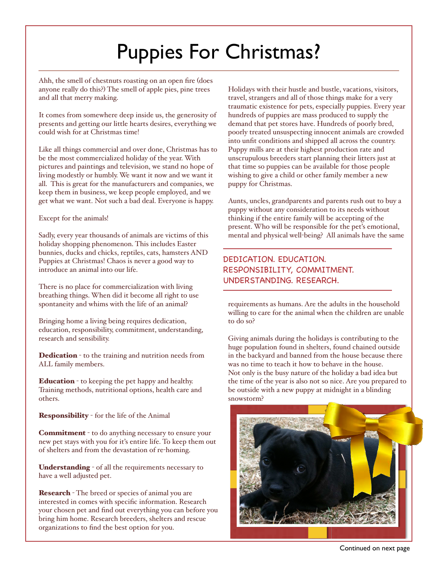# Puppies For Christmas?

Ahh, the smell of chestnuts roasting on an open fire (does anyone really do this?) The smell of apple pies, pine trees and all that merry making.

It comes from somewhere deep inside us, the generosity of presents and getting our little hearts desires, everything we could wish for at Christmas time!

Like all things commercial and over done, Christmas has to be the most commercialized holiday of the year. With pictures and paintings and television, we stand no hope of living modestly or humbly. We want it now and we want it all. This is great for the manufacturers and companies, we keep them in business, we keep people employed, and we get what we want. Not such a bad deal. Everyone is happy.

### Except for the animals!

Sadly, every year thousands of animals are victims of this holiday shopping phenomenon. This includes Easter bunnies, ducks and chicks, reptiles, cats, hamsters AND Puppies at Christmas! Chaos is never a good way to introduce an animal into our life.

There is no place for commercialization with living breathing things. When did it become all right to use spontaneity and whims with the life of an animal?

Bringing home a living being requires dedication, education, responsibility, commitment, understanding, research and sensibility.

Dedication - to the training and nutrition needs from ALL family members.

Education - to keeping the pet happy and healthy. Training methods, nutritional options, health care and others.

Responsibility - for the life of the Animal

Commitment - to do anything necessary to ensure your new pet stays with you for it's entire life. To keep them out of shelters and from the devastation of re-homing.

Understanding - of all the requirements necessary to have a well adjusted pet.

Research - The breed or species of animal you are interested in comes with specific information. Research your chosen pet and find out everything you can before you bring him home. Research breeders, shelters and rescue organizations to find the best option for you.

Holidays with their hustle and bustle, vacations, visitors, travel, strangers and all of those things make for a very traumatic existence for pets, especially puppies. Every year hundreds of puppies are mass produced to supply the demand that pet stores have. Hundreds of poorly bred, poorly treated unsuspecting innocent animals are crowded into unfit conditions and shipped all across the country. Puppy mills are at their highest production rate and unscrupulous breeders start planning their litters just at that time so puppies can be available for those people wishing to give a child or other family member a new puppy for Christmas.

Aunts, uncles, grandparents and parents rush out to buy a puppy without any consideration to its needs without thinking if the entire family will be accepting of the present. Who will be responsible for the pet's emotional, mental and physical well-being? All animals have the same

## DEDICATION. EDUCATION. RESPONSIBILITY, COMMITMENT. UNDERSTANDING. RESEARCH.

requirements as humans. Are the adults in the household willing to care for the animal when the children are unable to do so?

Giving animals during the holidays is contributing to the huge population found in shelters, found chained outside in the backyard and banned from the house because there was no time to teach it how to behave in the house. Not only is the busy nature of the holiday a bad idea but the time of the year is also not so nice. Are you prepared to be outside with a new puppy at midnight in a blinding snowstorm?



Continued on next page